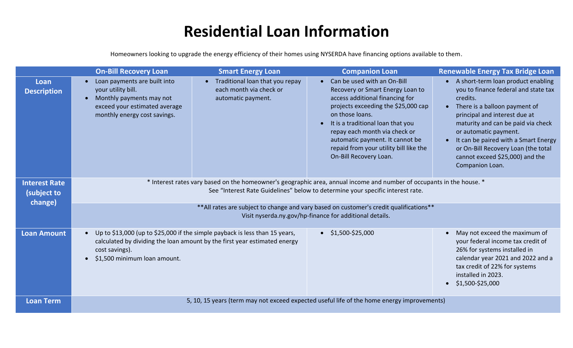## **Residential Loan Information**

Homeowners looking to upgrade the energy efficiency of their homes using NYSERDA have financing options available to them.

|                                     | <b>On-Bill Recovery Loan</b>                                                                                                                                                                                                         | <b>Smart Energy Loan</b>                                                           | <b>Companion Loan</b>                                                                                                                                                                                                                                                                                                                     | <b>Renewable Energy Tax Bridge Loan</b>                                                                                                                                                                                                                                                                                                                        |  |  |
|-------------------------------------|--------------------------------------------------------------------------------------------------------------------------------------------------------------------------------------------------------------------------------------|------------------------------------------------------------------------------------|-------------------------------------------------------------------------------------------------------------------------------------------------------------------------------------------------------------------------------------------------------------------------------------------------------------------------------------------|----------------------------------------------------------------------------------------------------------------------------------------------------------------------------------------------------------------------------------------------------------------------------------------------------------------------------------------------------------------|--|--|
| Loan<br><b>Description</b>          | Loan payments are built into<br>your utility bill.<br>Monthly payments may not<br>$\bullet$<br>exceed your estimated average<br>monthly energy cost savings.                                                                         | • Traditional loan that you repay<br>each month via check or<br>automatic payment. | Can be used with an On-Bill<br>Recovery or Smart Energy Loan to<br>access additional financing for<br>projects exceeding the \$25,000 cap<br>on those loans.<br>It is a traditional loan that you<br>repay each month via check or<br>automatic payment. It cannot be<br>repaid from your utility bill like the<br>On-Bill Recovery Loan. | • A short-term loan product enabling<br>you to finance federal and state tax<br>credits.<br>There is a balloon payment of<br>principal and interest due at<br>maturity and can be paid via check<br>or automatic payment.<br>It can be paired with a Smart Energy<br>or On-Bill Recovery Loan (the total<br>cannot exceed \$25,000) and the<br>Companion Loan. |  |  |
| <b>Interest Rate</b><br>(subject to | * Interest rates vary based on the homeowner's geographic area, annual income and number of occupants in the house. *<br>See "Interest Rate Guidelines" below to determine your specific interest rate.                              |                                                                                    |                                                                                                                                                                                                                                                                                                                                           |                                                                                                                                                                                                                                                                                                                                                                |  |  |
| change)                             | ** All rates are subject to change and vary based on customer's credit qualifications**<br>Visit nyserda.ny.gov/hp-finance for additional details.                                                                                   |                                                                                    |                                                                                                                                                                                                                                                                                                                                           |                                                                                                                                                                                                                                                                                                                                                                |  |  |
| <b>Loan Amount</b>                  | Up to \$13,000 (up to \$25,000 if the simple payback is less than 15 years,<br>$\bullet$<br>calculated by dividing the loan amount by the first year estimated energy<br>cost savings).<br>\$1,500 minimum loan amount.<br>$\bullet$ |                                                                                    | $\bullet$ \$1,500-\$25,000                                                                                                                                                                                                                                                                                                                | May not exceed the maximum of<br>your federal income tax credit of<br>26% for systems installed in<br>calendar year 2021 and 2022 and a<br>tax credit of 22% for systems<br>installed in 2023.<br>\$1,500-\$25,000                                                                                                                                             |  |  |
| <b>Loan Term</b>                    |                                                                                                                                                                                                                                      |                                                                                    | 5, 10, 15 years (term may not exceed expected useful life of the home energy improvements)                                                                                                                                                                                                                                                |                                                                                                                                                                                                                                                                                                                                                                |  |  |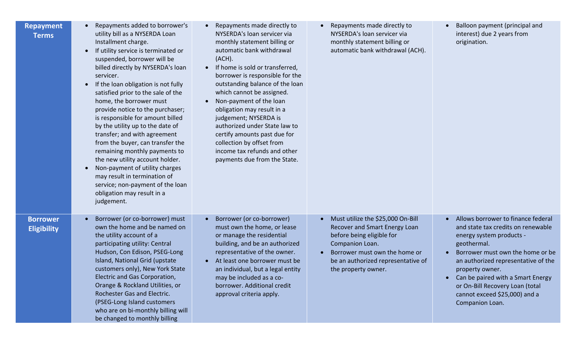| <b>Repayment</b><br><b>Terms</b>      | Repayments added to borrower's<br>utility bill as a NYSERDA Loan<br>Installment charge.<br>If utility service is terminated or<br>suspended, borrower will be<br>billed directly by NYSERDA's loan<br>servicer.<br>If the loan obligation is not fully<br>satisfied prior to the sale of the<br>home, the borrower must<br>provide notice to the purchaser;<br>is responsible for amount billed<br>by the utility up to the date of<br>transfer; and with agreement<br>from the buyer, can transfer the<br>remaining monthly payments to<br>the new utility account holder.<br>Non-payment of utility charges<br>$\bullet$<br>may result in termination of<br>service; non-payment of the loan<br>obligation may result in a<br>judgement. | Repayments made directly to<br>NYSERDA's loan servicer via<br>monthly statement billing or<br>automatic bank withdrawal<br>(ACH).<br>If home is sold or transferred,<br>$\bullet$<br>borrower is responsible for the<br>outstanding balance of the loan<br>which cannot be assigned.<br>Non-payment of the loan<br>obligation may result in a<br>judgement; NYSERDA is<br>authorized under State law to<br>certify amounts past due for<br>collection by offset from<br>income tax refunds and other<br>payments due from the State. | Repayments made directly to<br>NYSERDA's loan servicer via<br>monthly statement billing or<br>automatic bank withdrawal (ACH).                                                                                   | Balloon payment (principal and<br>interest) due 2 years from<br>origination.                                                                                                                                                                                                                                                                               |
|---------------------------------------|--------------------------------------------------------------------------------------------------------------------------------------------------------------------------------------------------------------------------------------------------------------------------------------------------------------------------------------------------------------------------------------------------------------------------------------------------------------------------------------------------------------------------------------------------------------------------------------------------------------------------------------------------------------------------------------------------------------------------------------------|--------------------------------------------------------------------------------------------------------------------------------------------------------------------------------------------------------------------------------------------------------------------------------------------------------------------------------------------------------------------------------------------------------------------------------------------------------------------------------------------------------------------------------------|------------------------------------------------------------------------------------------------------------------------------------------------------------------------------------------------------------------|------------------------------------------------------------------------------------------------------------------------------------------------------------------------------------------------------------------------------------------------------------------------------------------------------------------------------------------------------------|
| <b>Borrower</b><br><b>Eligibility</b> | Borrower (or co-borrower) must<br>own the home and be named on<br>the utility account of a<br>participating utility: Central<br>Hudson, Con Edison, PSEG-Long<br>Island, National Grid (upstate<br>customers only), New York State<br>Electric and Gas Corporation,<br>Orange & Rockland Utilities, or<br>Rochester Gas and Electric.<br>(PSEG-Long Island customers<br>who are on bi-monthly billing will<br>be changed to monthly billing                                                                                                                                                                                                                                                                                                | Borrower (or co-borrower)<br>must own the home, or lease<br>or manage the residential<br>building, and be an authorized<br>representative of the owner.<br>At least one borrower must be<br>an individual, but a legal entity<br>may be included as a co-<br>borrower. Additional credit<br>approval criteria apply.                                                                                                                                                                                                                 | Must utilize the \$25,000 On-Bill<br>Recover and Smart Energy Loan<br>before being eligible for<br>Companion Loan.<br>Borrower must own the home or<br>be an authorized representative of<br>the property owner. | Allows borrower to finance federal<br>$\bullet$<br>and state tax credits on renewable<br>energy system products -<br>geothermal.<br>Borrower must own the home or be<br>an authorized representative of the<br>property owner.<br>Can be paired with a Smart Energy<br>or On-Bill Recovery Loan (total<br>cannot exceed \$25,000) and a<br>Companion Loan. |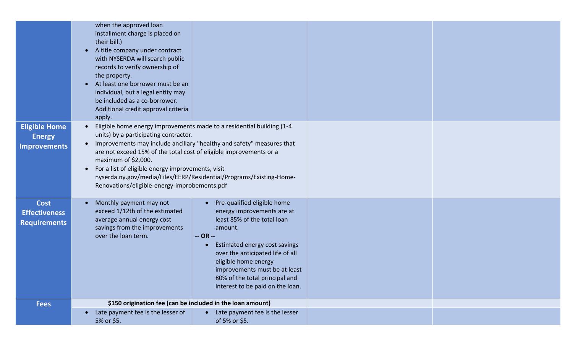|                                                              | when the approved loan<br>installment charge is placed on<br>their bill.)<br>A title company under contract<br>$\bullet$<br>with NYSERDA will search public<br>records to verify ownership of<br>the property.<br>At least one borrower must be an<br>individual, but a legal entity may<br>be included as a co-borrower.<br>Additional credit approval criteria<br>apply. |                                                                                                                                                                                                                                                                                                                                 |  |
|--------------------------------------------------------------|----------------------------------------------------------------------------------------------------------------------------------------------------------------------------------------------------------------------------------------------------------------------------------------------------------------------------------------------------------------------------|---------------------------------------------------------------------------------------------------------------------------------------------------------------------------------------------------------------------------------------------------------------------------------------------------------------------------------|--|
| <b>Eligible Home</b><br><b>Energy</b><br><b>Improvements</b> | $\bullet$<br>units) by a participating contractor.<br>are not exceed 15% of the total cost of eligible improvements or a<br>maximum of \$2,000.<br>For a list of eligible energy improvements, visit<br>Renovations/eligible-energy-improbements.pdf                                                                                                                       | Eligible home energy improvements made to a residential building (1-4<br>Improvements may include ancillary "healthy and safety" measures that<br>nyserda.ny.gov/media/Files/EERP/Residential/Programs/Existing-Home-                                                                                                           |  |
| <b>Cost</b><br><b>Effectiveness</b><br><b>Requirements</b>   | Monthly payment may not<br>$\bullet$<br>exceed 1/12th of the estimated<br>average annual energy cost<br>savings from the improvements<br>over the loan term.                                                                                                                                                                                                               | Pre-qualified eligible home<br>energy improvements are at<br>least 85% of the total loan<br>amount.<br>$-OR -$<br>Estimated energy cost savings<br>$\bullet$<br>over the anticipated life of all<br>eligible home energy<br>improvements must be at least<br>80% of the total principal and<br>interest to be paid on the loan. |  |
| <b>Fees</b>                                                  | \$150 origination fee (can be included in the loan amount)                                                                                                                                                                                                                                                                                                                 |                                                                                                                                                                                                                                                                                                                                 |  |
|                                                              | Late payment fee is the lesser of<br>$\bullet$<br>5% or \$5.                                                                                                                                                                                                                                                                                                               | Late payment fee is the lesser<br>of 5% or \$5.                                                                                                                                                                                                                                                                                 |  |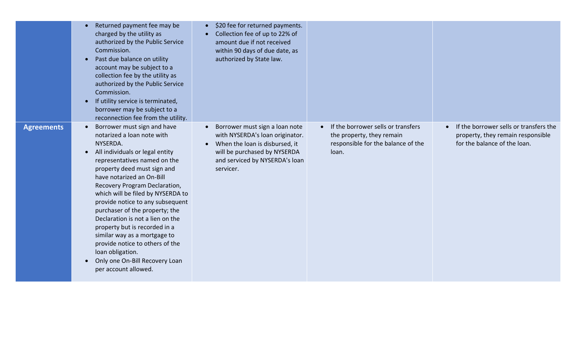|                   | Returned payment fee may be<br>charged by the utility as<br>authorized by the Public Service<br>Commission.<br>Past due balance on utility<br>$\bullet$<br>account may be subject to a<br>collection fee by the utility as<br>authorized by the Public Service<br>Commission.<br>If utility service is terminated,<br>$\bullet$<br>borrower may be subject to a<br>reconnection fee from the utility.                                                                                                                                                                                                         | \$20 fee for returned payments.<br>Collection fee of up to 22% of<br>$\bullet$<br>amount due if not received<br>within 90 days of due date, as<br>authorized by State law.                      |                                                                                                                             |                                                                                                             |
|-------------------|---------------------------------------------------------------------------------------------------------------------------------------------------------------------------------------------------------------------------------------------------------------------------------------------------------------------------------------------------------------------------------------------------------------------------------------------------------------------------------------------------------------------------------------------------------------------------------------------------------------|-------------------------------------------------------------------------------------------------------------------------------------------------------------------------------------------------|-----------------------------------------------------------------------------------------------------------------------------|-------------------------------------------------------------------------------------------------------------|
| <b>Agreements</b> | Borrower must sign and have<br>$\bullet$<br>notarized a loan note with<br>NYSERDA.<br>All individuals or legal entity<br>$\bullet$<br>representatives named on the<br>property deed must sign and<br>have notarized an On-Bill<br>Recovery Program Declaration,<br>which will be filed by NYSERDA to<br>provide notice to any subsequent<br>purchaser of the property; the<br>Declaration is not a lien on the<br>property but is recorded in a<br>similar way as a mortgage to<br>provide notice to others of the<br>loan obligation.<br>Only one On-Bill Recovery Loan<br>$\bullet$<br>per account allowed. | Borrower must sign a loan note<br>$\bullet$<br>with NYSERDA's loan originator.<br>When the loan is disbursed, it<br>will be purchased by NYSERDA<br>and serviced by NYSERDA's loan<br>servicer. | If the borrower sells or transfers<br>$\bullet$<br>the property, they remain<br>responsible for the balance of the<br>loan. | If the borrower sells or transfers the<br>property, they remain responsible<br>for the balance of the loan. |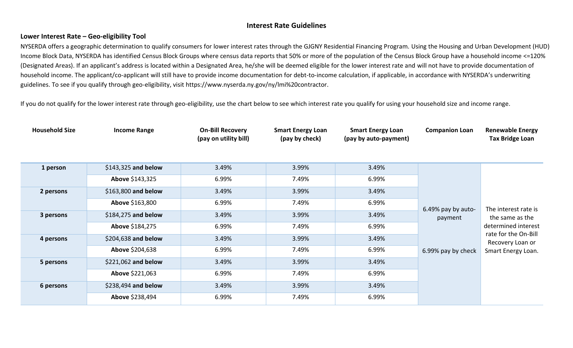## **Interest Rate Guidelines**

## **Lower Interest Rate – Geo-eligibility Tool**

NYSERDA offers a geographic determination to qualify consumers for lower interest rates through the GJGNY Residential Financing Program. Using the Housing and Urban Development (HUD) Income Block Data, NYSERDA has identified Census Block Groups where census data reports that 50% or more of the population of the Census Block Group have a household income <=120% (Designated Areas). If an applicant's address is located within a Designated Area, he/she will be deemed eligible for the lower interest rate and will not have to provide documentation of household income. The applicant/co-applicant will still have to provide income documentation for debt-to-income calculation, if applicable, in accordance with NYSERDA's underwriting guidelines. To see if you qualify through geo-eligibility, visit https://www.nyserda.ny.gov/ny/lmi%20contractor.

If you do not qualify for the lower interest rate through geo-eligibility, use the chart below to see which interest rate you qualify for using your household size and income range.

| <b>Household Size</b> | <b>Income Range</b>  | <b>On-Bill Recovery</b><br>(pay on utility bill) | <b>Smart Energy Loan</b><br>(pay by check) | <b>Smart Energy Loan</b><br>(pay by auto-payment) | <b>Companion Loan</b>         | <b>Renewable Energy</b><br><b>Tax Bridge Loan</b>                                                          |
|-----------------------|----------------------|--------------------------------------------------|--------------------------------------------|---------------------------------------------------|-------------------------------|------------------------------------------------------------------------------------------------------------|
|                       |                      |                                                  |                                            |                                                   |                               |                                                                                                            |
| 1 person              | \$143,325 and below  | 3.49%                                            | 3.99%                                      | 3.49%                                             |                               |                                                                                                            |
|                       | Above \$143,325      | 6.99%                                            | 7.49%                                      | 6.99%                                             |                               |                                                                                                            |
| 2 persons             | \$163,800 and below  | 3.49%                                            | 3.99%                                      | 3.49%                                             | 6.49% pay by auto-<br>payment | The interest rate is<br>the same as the<br>determined interest<br>rate for the On-Bill<br>Recovery Loan or |
|                       | Above \$163,800      | 6.99%                                            | 7.49%                                      | 6.99%                                             |                               |                                                                                                            |
| 3 persons             | \$184,275 and below  | 3.49%                                            | 3.99%                                      | 3.49%                                             |                               |                                                                                                            |
|                       | Above \$184,275      | 6.99%                                            | 7.49%                                      | 6.99%                                             |                               |                                                                                                            |
| 4 persons             | $$204,638$ and below | 3.49%                                            | 3.99%                                      | 3.49%                                             |                               |                                                                                                            |
|                       | Above \$204,638      | 6.99%                                            | 7.49%                                      | 6.99%                                             | 6.99% pay by check            | Smart Energy Loan.                                                                                         |
| 5 persons             | \$221,062 and below  | 3.49%                                            | 3.99%                                      | 3.49%                                             |                               |                                                                                                            |
|                       | Above \$221,063      | 6.99%                                            | 7.49%                                      | 6.99%                                             |                               |                                                                                                            |
| 6 persons             | \$238,494 and below  | 3.49%                                            | 3.99%                                      | 3.49%                                             |                               |                                                                                                            |
|                       | Above \$238,494      | 6.99%                                            | 7.49%                                      | 6.99%                                             |                               |                                                                                                            |